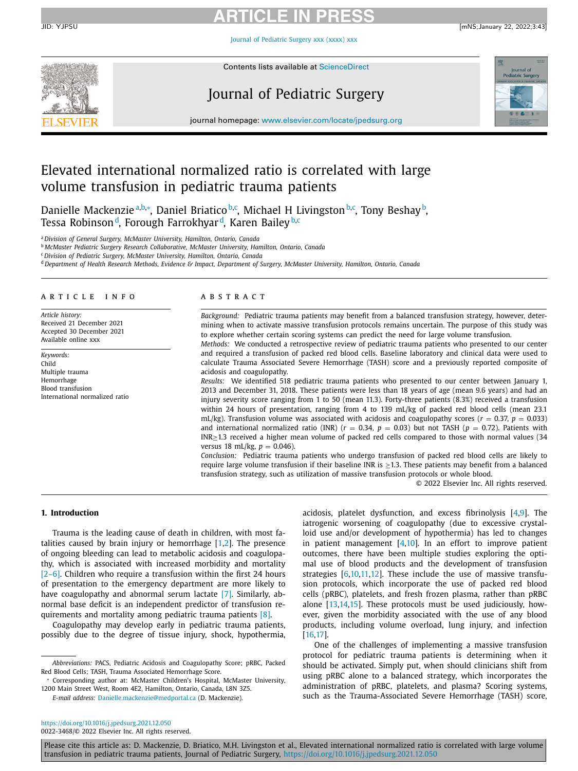### **ARTICLE IN PRESS** JID: YJPSU [mNS;January 22, 2022;3:43]

Journal of [Pediatric](https://doi.org/10.1016/j.jpedsurg.2021.12.050) Surgery xxx (xxxx) xxx



Contents lists available at [ScienceDirect](http://www.ScienceDirect.com)

## Journal of Pediatric Surgery



journal homepage: [www.elsevier.com/locate/jpedsurg.org](http://www.elsevier.com/locate/jpedsurg)

## Elevated international normalized ratio is correlated with large volume transfusion in pediatric trauma patients

Danielle Mackenzieª,b,\*, Daniel Briatico<sup>b,c</sup>, Michael H Livingston<sup>b,c</sup>, Tony Beshay<sup>b</sup>, Tessa Robinson<sup>d</sup>, Forough Farrokhyar<sup>d</sup>, Karen Bailey<sup>b,c</sup>

<sup>a</sup> *Division of General Surgery, McMaster University, Hamilton, Ontario, Canada*

<sup>b</sup> *McMaster Pediatric Surgery Research Collaborative, McMaster University, Hamilton, Ontario, Canada*

<sup>c</sup> *Division of Pediatric Surgery, McMaster University, Hamilton, Ontario, Canada*

<sup>d</sup> Department of Health Research Methods, Evidence & Impact, Department of Surgery, McMaster University, Hamilton, Ontario, Canada

#### a r t i c l e i n f o

*Article history:* Received 21 December 2021 Accepted 30 December 2021 Available online xxx

*Keywords:* Child Multiple trauma Hemorrhage Blood transfusion International normalized ratio

#### a b s t r a c t

*Background:* Pediatric trauma patients may benefit from a balanced transfusion strategy, however, determining when to activate massive transfusion protocols remains uncertain. The purpose of this study was to explore whether certain scoring systems can predict the need for large volume transfusion.

*Methods:* We conducted a retrospective review of pediatric trauma patients who presented to our center and required a transfusion of packed red blood cells. Baseline laboratory and clinical data were used to calculate Trauma Associated Severe Hemorrhage (TASH) score and a previously reported composite of acidosis and coagulopathy.

*Results:* We identified 518 pediatric trauma patients who presented to our center between January 1, 2013 and December 31, 2018. These patients were less than 18 years of age (mean 9.6 years) and had an injury severity score ranging from 1 to 50 (mean 11.3). Forty-three patients (8.3%) received a transfusion within 24 hours of presentation, ranging from 4 to 139 mL/kg of packed red blood cells (mean 23.1 mL/kg). Transfusion volume was associated with acidosis and coagulopathy scores ( $r = 0.37$ ,  $p = 0.033$ ) and international normalized ratio (INR)  $(r = 0.34, p = 0.03)$  but not TASH  $(p = 0.72)$ . Patients with INR≥1.3 received a higher mean volume of packed red cells compared to those with normal values (34 versus 18 mL/kg,  $p = 0.046$ ).

*Conclusion:* Pediatric trauma patients who undergo transfusion of packed red blood cells are likely to require large volume transfusion if their baseline INR is  $\geq$ 1.3. These patients may benefit from a balanced transfusion strategy, such as utilization of massive transfusion protocols or whole blood.

© 2022 Elsevier Inc. All rights reserved.

#### **1. Introduction**

Trauma is the leading cause of death in children, with most fatalities caused by brain injury or hemorrhage [\[1,2\]](#page-3-0). The presence of ongoing bleeding can lead to metabolic acidosis and coagulopathy, which is associated with increased morbidity and mortality [\[2–6\].](#page-3-0) Children who require a transfusion within the first 24 hours of presentation to the emergency department are more likely to have coagulopathy and abnormal serum lactate [\[7\].](#page-4-0) Similarly, abnormal base deficit is an independent predictor of transfusion re-quirements and mortality among pediatric trauma patients [\[8\].](#page-4-0)

Coagulopathy may develop early in pediatric trauma patients, possibly due to the degree of tissue injury, shock, hypothermia,

*E-mail address:* [Danielle.mackenzie@medportal.ca](mailto:Danielle.mackenzie@medportal.ca) (D. Mackenzie).

<https://doi.org/10.1016/j.jpedsurg.2021.12.050> 0022-3468/© 2022 Elsevier Inc. All rights reserved. acidosis, platelet dysfunction, and excess fibrinolysis [\[4,9\]](#page-4-0). The iatrogenic worsening of coagulopathy (due to excessive crystalloid use and/or development of hypothermia) has led to changes in patient management [\[4,10\]](#page-4-0). In an effort to improve patient outcomes, there have been multiple studies exploring the optimal use of blood products and the development of transfusion strategies [\[6,10,11,12\]](#page-4-0). These include the use of massive transfusion protocols, which incorporate the use of packed red blood cells (pRBC), platelets, and fresh frozen plasma, rather than pRBC alone [\[13,14,15\]](#page-4-0). These protocols must be used judiciously, however, given the morbidity associated with the use of any blood products, including volume overload, lung injury, and infection [\[16,17\]](#page-4-0).

One of the challenges of implementing a massive transfusion protocol for pediatric trauma patients is determining when it should be activated. Simply put, when should clinicians shift from using pRBC alone to a balanced strategy, which incorporates the administration of pRBC, platelets, and plasma? Scoring systems, such as the Trauma-Associated Severe Hemorrhage (TASH) score,

*Abbreviations:* PACS, Pediatric Acidosis and Coagulopathy Score; pRBC, Packed Red Blood Cells; TASH, Trauma Associated Hemorrhage Score.

Corresponding author at: McMaster Children's Hospital, McMaster University, 1200 Main Street West, Room 4E2, Hamilton, Ontario, Canada, L8N 3Z5.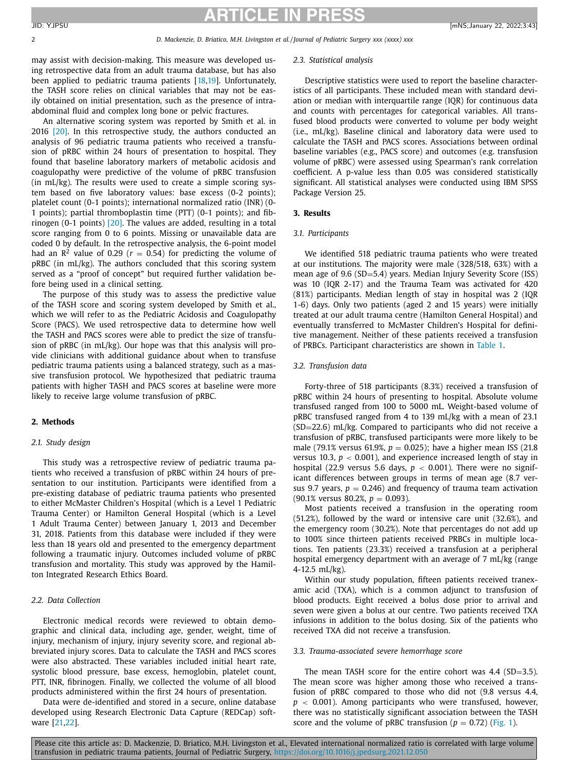## **ARTICLE IN PRESS**

2 *D. Mackenzie, D. Briatico, M.H. Livingston et al. / Journal of Pediatric Surgery xxx (xxxx) xxx*

may assist with decision-making. This measure was developed using retrospective data from an adult trauma database, but has also been applied to pediatric trauma patients [\[18,19\]](#page-4-0). Unfortunately, the TASH score relies on clinical variables that may not be easily obtained on initial presentation, such as the presence of intraabdominal fluid and complex long bone or pelvic fractures.

An alternative scoring system was reported by Smith et al. in 2016 [\[20\].](#page-4-0) In this retrospective study, the authors conducted an analysis of 96 pediatric trauma patients who received a transfusion of pRBC within 24 hours of presentation to hospital. They found that baseline laboratory markers of metabolic acidosis and coagulopathy were predictive of the volume of pRBC transfusion (in mL/kg). The results were used to create a simple scoring system based on five laboratory values: base excess (0-2 points); platelet count (0-1 points); international normalized ratio (INR) (0- 1 points); partial thromboplastin time (PTT) (0-1 points); and fibrinogen (0-1 points)  $[20]$ . The values are added, resulting in a total score ranging from 0 to 6 points. Missing or unavailable data are coded 0 by default. In the retrospective analysis, the 6-point model had an  $\mathbb{R}^2$  value of 0.29 ( $r = 0.54$ ) for predicting the volume of pRBC (in mL/kg). The authors concluded that this scoring system served as a "proof of concept" but required further validation before being used in a clinical setting.

The purpose of this study was to assess the predictive value of the TASH score and scoring system developed by Smith et al., which we will refer to as the Pediatric Acidosis and Coagulopathy Score (PACS). We used retrospective data to determine how well the TASH and PACS scores were able to predict the size of transfusion of pRBC (in mL/kg). Our hope was that this analysis will provide clinicians with additional guidance about when to transfuse pediatric trauma patients using a balanced strategy, such as a massive transfusion protocol. We hypothesized that pediatric trauma patients with higher TASH and PACS scores at baseline were more likely to receive large volume transfusion of pRBC.

### **2. Methods**

#### *2.1. Study design*

This study was a retrospective review of pediatric trauma patients who received a transfusion of pRBC within 24 hours of presentation to our institution. Participants were identified from a pre-existing database of pediatric trauma patients who presented to either McMaster Children's Hospital (which is a Level 1 Pediatric Trauma Center) or Hamilton General Hospital (which is a Level 1 Adult Trauma Center) between January 1, 2013 and December 31, 2018. Patients from this database were included if they were less than 18 years old and presented to the emergency department following a traumatic injury. Outcomes included volume of pRBC transfusion and mortality. This study was approved by the Hamilton Integrated Research Ethics Board.

#### *2.2. Data Collection*

Electronic medical records were reviewed to obtain demographic and clinical data, including age, gender, weight, time of injury, mechanism of injury, injury severity score, and regional abbreviated injury scores. Data to calculate the TASH and PACS scores were also abstracted. These variables included initial heart rate, systolic blood pressure, base excess, hemoglobin, platelet count, PTT, INR, fibrinogen. Finally, we collected the volume of all blood products administered within the first 24 hours of presentation.

Data were de-identified and stored in a secure, online database developed using Research Electronic Data Capture (REDCap) software [\[21,22\]](#page-4-0).

#### *2.3. Statistical analysis*

Descriptive statistics were used to report the baseline characteristics of all participants. These included mean with standard deviation or median with interquartile range (IQR) for continuous data and counts with percentages for categorical variables. All transfused blood products were converted to volume per body weight (i.e., mL/kg). Baseline clinical and laboratory data were used to calculate the TASH and PACS scores. Associations between ordinal baseline variables (e.g., PACS score) and outcomes (e.g. transfusion volume of pRBC) were assessed using Spearman's rank correlation coefficient. A p-value less than 0.05 was considered statistically significant. All statistical analyses were conducted using IBM SPSS Package Version 25.

#### **3. Results**

#### *3.1. Participants*

We identified 518 pediatric trauma patients who were treated at our institutions. The majority were male (328/518, 63%) with a mean age of 9.6 (SD=5.4) years. Median Injury Severity Score (ISS) was 10 (IQR 2-17) and the Trauma Team was activated for 420 (81%) participants. Median length of stay in hospital was 2 (IQR 1-6) days. Only two patients (aged 2 and 15 years) were initially treated at our adult trauma centre (Hamilton General Hospital) and eventually transferred to McMaster Children's Hospital for definitive management. Neither of these patients received a transfusion of PRBCs. Participant characteristics are shown in [Table](#page-2-0) 1.

#### *3.2. Transfusion data*

Forty-three of 518 participants (8.3%) received a transfusion of pRBC within 24 hours of presenting to hospital. Absolute volume transfused ranged from 100 to 5000 mL. Weight-based volume of pRBC transfused ranged from 4 to 139 mL/kg with a mean of 23.1 (SD=22.6) mL/kg. Compared to participants who did not receive a transfusion of pRBC, transfused participants were more likely to be male (79.1% versus 61.9%,  $p = 0.025$ ); have a higher mean ISS (21.8) versus 10.3,  $p < 0.001$ ), and experience increased length of stay in hospital (22.9 versus 5.6 days,  $p < 0.001$ ). There were no significant differences between groups in terms of mean age (8.7 versus 9.7 years,  $p = 0.246$ ) and frequency of trauma team activation (90.1% versus 80.2%, *p* = 0.093).

Most patients received a transfusion in the operating room (51.2%), followed by the ward or intensive care unit (32.6%), and the emergency room (30.2%). Note that percentages do not add up to 100% since thirteen patients received PRBCs in multiple locations. Ten patients (23.3%) received a transfusion at a peripheral hospital emergency department with an average of 7 mL/kg (range 4-12.5 mL/kg).

Within our study population, fifteen patients received tranexamic acid (TXA), which is a common adjunct to transfusion of blood products. Eight received a bolus dose prior to arrival and seven were given a bolus at our centre. Two patients received TXA infusions in addition to the bolus dosing. Six of the patients who received TXA did not receive a transfusion.

#### *3.3. Trauma-associated severe hemorrhage score*

The mean TASH score for the entire cohort was  $4.4$  (SD=3.5). The mean score was higher among those who received a transfusion of pRBC compared to those who did not (9.8 versus 4.4, *p* < 0.001). Among participants who were transfused, however, there was no statistically significant association between the TASH score and the volume of pRBC transfusion ( $p = 0.72$ ) [\(Fig.](#page-2-0) 1).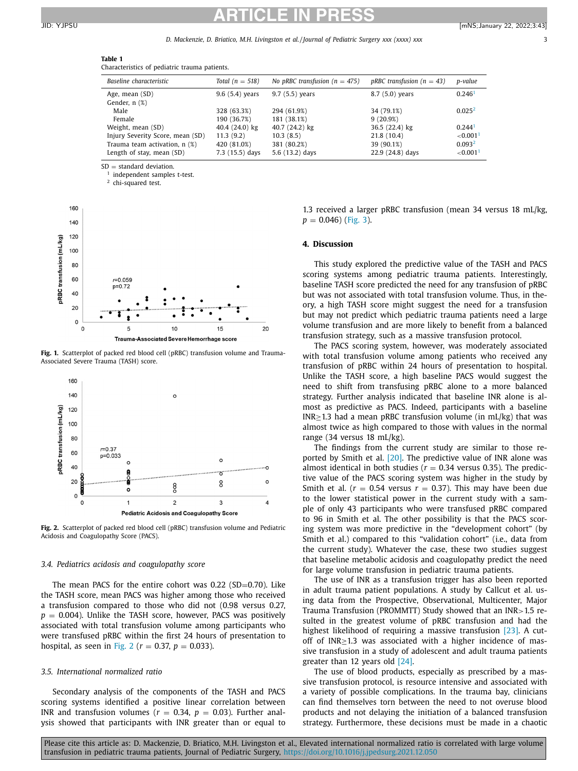## <span id="page-2-0"></span>**ARTICLE IN PRESS** JID: YJPSU [mNS;January 22, 2022;3:43]

#### *D. Mackenzie, D. Briatico, M.H. Livingston et al. / Journal of Pediatric Surgery xxx (xxxx) xxx* 3

|  | ï |  |
|--|---|--|
|  |   |  |

| . .<br>۰. |  |
|-----------|--|
|           |  |

Characteristics of pediatric trauma patients.

| Baseline characteristic                                                                | Total $(n = 518)$                            | No pRBC transfusion ( $n = 475$ )            | pRBC transfusion ( $n = 43$ )              | p-value                                                             |
|----------------------------------------------------------------------------------------|----------------------------------------------|----------------------------------------------|--------------------------------------------|---------------------------------------------------------------------|
| Age, mean (SD)<br>Gender, n (%)                                                        | $9.6(5.4)$ years                             | $9.7(5.5)$ years                             | $8.7(5.0)$ years                           | 0.246 <sup>1</sup>                                                  |
| Male<br>Female                                                                         | 328 (63.3%)<br>190 (36.7%)                   | 294 (61.9%)<br>181 (38.1%)                   | 34 (79.1%)<br>9(20.9%)                     | 0.025 <sup>2</sup>                                                  |
| Weight, mean (SD)<br>Injury Severity Score, mean (SD)<br>Trauma team activation, n (%) | 40.4 $(24.0)$ kg<br>11.3(9.2)<br>420 (81.0%) | 40.7 $(24.2)$ kg<br>10.3(8.5)<br>381 (80.2%) | 36.5 (22.4) kg<br>21.8(10.4)<br>39 (90.1%) | 0.244 <sup>1</sup><br>${<}0.001$ <sup>1</sup><br>0.093 <sup>2</sup> |
| Length of stay, mean (SD)                                                              | 7.3 (15.5) days                              | 5.6 (13.2) days                              | 22.9 (24.8) days                           | ${<}0.001$ <sup>1</sup>                                             |

 $SD = standard deviation.$ <sup>1</sup> independent samples t-test.

<sup>2</sup> chi-squared test.



**Fig. 1.** Scatterplot of packed red blood cell (pRBC) transfusion volume and Trauma-Associated Severe Trauma (TASH) score.



**Fig. 2.** Scatterplot of packed red blood cell (pRBC) transfusion volume and Pediatric Acidosis and Coagulopathy Score (PACS).

#### *3.4. Pediatrics acidosis and coagulopathy score*

The mean PACS for the entire cohort was  $0.22$  (SD=0.70). Like the TASH score, mean PACS was higher among those who received a transfusion compared to those who did not (0.98 versus 0.27,  $p = 0.004$ ). Unlike the TASH score, however, PACS was positively associated with total transfusion volume among participants who were transfused pRBC within the first 24 hours of presentation to hospital, as seen in Fig. 2 ( $r = 0.37$ ,  $p = 0.033$ ).

#### *3.5. International normalized ratio*

Secondary analysis of the components of the TASH and PACS scoring systems identified a positive linear correlation between INR and transfusion volumes ( $r = 0.34$ ,  $p = 0.03$ ). Further analysis showed that participants with INR greater than or equal to 1.3 received a larger pRBC transfusion (mean 34 versus 18 mL/kg,  $p = 0.046$ ) [\(Fig.](#page-3-0) 3).

#### **4. Discussion**

This study explored the predictive value of the TASH and PACS scoring systems among pediatric trauma patients. Interestingly, baseline TASH score predicted the need for any transfusion of pRBC but was not associated with total transfusion volume. Thus, in theory, a high TASH score might suggest the need for a transfusion but may not predict which pediatric trauma patients need a large volume transfusion and are more likely to benefit from a balanced transfusion strategy, such as a massive transfusion protocol.

The PACS scoring system, however, was moderately associated with total transfusion volume among patients who received any transfusion of pRBC within 24 hours of presentation to hospital. Unlike the TASH score, a high baseline PACS would suggest the need to shift from transfusing pRBC alone to a more balanced strategy. Further analysis indicated that baseline INR alone is almost as predictive as PACS. Indeed, participants with a baseline INR≥1.3 had a mean pRBC transfusion volume (in mL/kg) that was almost twice as high compared to those with values in the normal range (34 versus 18 mL/kg).

The findings from the current study are similar to those reported by Smith et al. [\[20\].](#page-4-0) The predictive value of INR alone was almost identical in both studies ( $r = 0.34$  versus 0.35). The predictive value of the PACS scoring system was higher in the study by Smith et al. ( $r = 0.54$  versus  $r = 0.37$ ). This may have been due to the lower statistical power in the current study with a sample of only 43 participants who were transfused pRBC compared to 96 in Smith et al. The other possibility is that the PACS scoring system was more predictive in the "development cohort" (by Smith et al.) compared to this "validation cohort" (i.e., data from the current study). Whatever the case, these two studies suggest that baseline metabolic acidosis and coagulopathy predict the need for large volume transfusion in pediatric trauma patients.

The use of INR as a transfusion trigger has also been reported in adult trauma patient populations. A study by Callcut et al. using data from the Prospective, Observational, Multicenter, Major Trauma Transfusion (PROMMTT) Study showed that an INR>1.5 resulted in the greatest volume of pRBC transfusion and had the highest likelihood of requiring a massive transfusion [\[23\].](#page-4-0) A cutoff of INR≥1.3 was associated with a higher incidence of massive transfusion in a study of adolescent and adult trauma patients greater than 12 years old [\[24\].](#page-4-0)

The use of blood products, especially as prescribed by a massive transfusion protocol, is resource intensive and associated with a variety of possible complications. In the trauma bay, clinicians can find themselves torn between the need to not overuse blood products and not delaying the initiation of a balanced transfusion strategy. Furthermore, these decisions must be made in a chaotic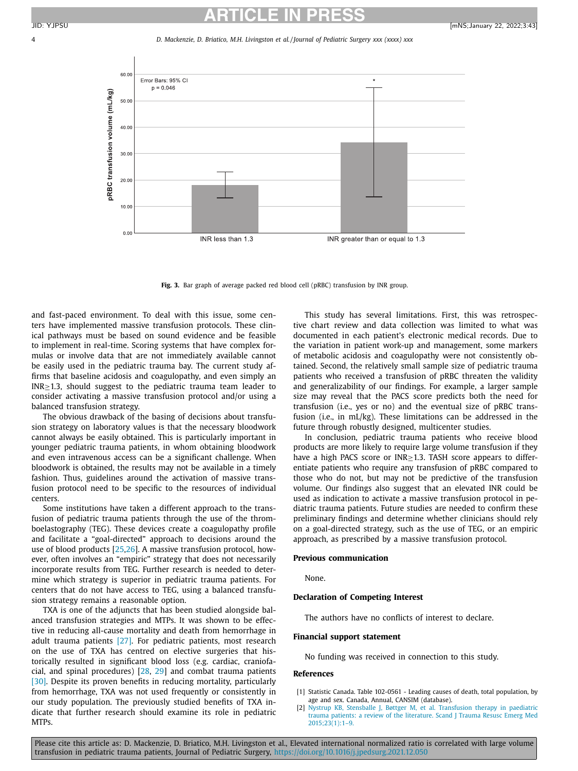# **ARTICLE IN PRESS**

<span id="page-3-0"></span>



**Fig. 3.** Bar graph of average packed red blood cell (pRBC) transfusion by INR group.

and fast-paced environment. To deal with this issue, some centers have implemented massive transfusion protocols. These clinical pathways must be based on sound evidence and be feasible to implement in real-time. Scoring systems that have complex formulas or involve data that are not immediately available cannot be easily used in the pediatric trauma bay. The current study affirms that baseline acidosis and coagulopathy, and even simply an INR≥1.3, should suggest to the pediatric trauma team leader to consider activating a massive transfusion protocol and/or using a balanced transfusion strategy.

The obvious drawback of the basing of decisions about transfusion strategy on laboratory values is that the necessary bloodwork cannot always be easily obtained. This is particularly important in younger pediatric trauma patients, in whom obtaining bloodwork and even intravenous access can be a significant challenge. When bloodwork is obtained, the results may not be available in a timely fashion. Thus, guidelines around the activation of massive transfusion protocol need to be specific to the resources of individual centers.

Some institutions have taken a different approach to the transfusion of pediatric trauma patients through the use of the thromboelastography (TEG). These devices create a coagulopathy profile and facilitate a "goal-directed" approach to decisions around the use of blood products [\[25,26\]](#page-4-0). A massive transfusion protocol, however, often involves an "empiric" strategy that does not necessarily incorporate results from TEG. Further research is needed to determine which strategy is superior in pediatric trauma patients. For centers that do not have access to TEG, using a balanced transfusion strategy remains a reasonable option.

TXA is one of the adjuncts that has been studied alongside balanced transfusion strategies and MTPs. It was shown to be effective in reducing all-cause mortality and death from hemorrhage in adult trauma patients [\[27\].](#page-4-0) For pediatric patients, most research on the use of TXA has centred on elective surgeries that historically resulted in significant blood loss (e.g. cardiac, craniofacial, and spinal procedures) [\[28,](#page-4-0) [29\]](#page-4-0) and combat trauma patients [\[30\].](#page-4-0) Despite its proven benefits in reducing mortality, particularly from hemorrhage, TXA was not used frequently or consistently in our study population. The previously studied benefits of TXA indicate that further research should examine its role in pediatric MTPs.

This study has several limitations. First, this was retrospective chart review and data collection was limited to what was documented in each patient's electronic medical records. Due to the variation in patient work-up and management, some markers of metabolic acidosis and coagulopathy were not consistently obtained. Second, the relatively small sample size of pediatric trauma patients who received a transfusion of pRBC threaten the validity and generalizability of our findings. For example, a larger sample size may reveal that the PACS score predicts both the need for transfusion (i.e., yes or no) and the eventual size of pRBC transfusion (i.e., in mL/kg). These limitations can be addressed in the future through robustly designed, multicenter studies.

In conclusion, pediatric trauma patients who receive blood products are more likely to require large volume transfusion if they have a high PACS score or INR≥1.3. TASH score appears to differentiate patients who require any transfusion of pRBC compared to those who do not, but may not be predictive of the transfusion volume. Our findings also suggest that an elevated INR could be used as indication to activate a massive transfusion protocol in pediatric trauma patients. Future studies are needed to confirm these preliminary findings and determine whether clinicians should rely on a goal-directed strategy, such as the use of TEG, or an empiric approach, as prescribed by a massive transfusion protocol.

#### **Previous communication**

None.

#### **Declaration of Competing Interest**

The authors have no conflicts of interest to declare.

#### **Financial support statement**

No funding was received in connection to this study.

#### **References**

- [1] Statistic Canada. Table 102-0561 Leading causes of death, total population, by age and sex. Canada, Annual, CANSIM (database).
- [2] [Nystrup](http://refhub.elsevier.com/S0022-3468(22)00030-6/sbref0002) KB, [Stensballe](http://refhub.elsevier.com/S0022-3468(22)00030-6/sbref0002) J, [Bøttger](http://refhub.elsevier.com/S0022-3468(22)00030-6/sbref0002) M, et [al.](http://refhub.elsevier.com/S0022-3468(22)00030-6/sbref0002) Transfusion therapy in paediatric trauma patients: a review of the literature. Scand J Trauma Resusc Emerg Med [2015;23\(1\):1–9.](http://refhub.elsevier.com/S0022-3468(22)00030-6/sbref0002)